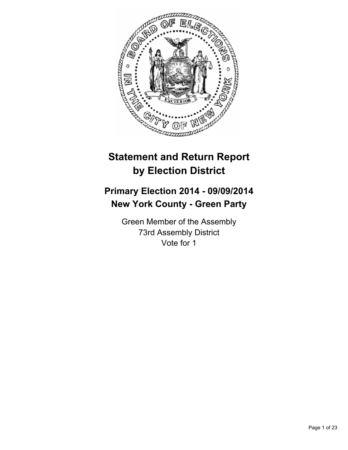

# **Statement and Return Report by Election District**

# **Primary Election 2014 - 09/09/2014 New York County - Green Party**

Green Member of the Assembly 73rd Assembly District Vote for 1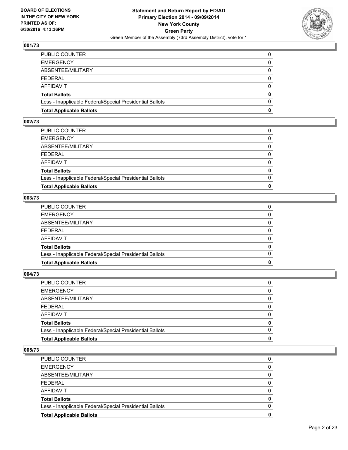

| <b>Total Applicable Ballots</b>                          | 0            |
|----------------------------------------------------------|--------------|
| Less - Inapplicable Federal/Special Presidential Ballots | $\Omega$     |
| Total Ballots                                            | $\mathbf{0}$ |
| AFFIDAVIT                                                | 0            |
| FEDERAL                                                  | $\Omega$     |
| ABSENTEE/MILITARY                                        | $\mathbf{0}$ |
| <b>EMERGENCY</b>                                         | 0            |
| PUBLIC COUNTER                                           | 0            |

## **002/73**

| PUBLIC COUNTER                                           | 0            |
|----------------------------------------------------------|--------------|
| <b>EMERGENCY</b>                                         | 0            |
| ABSENTEE/MILITARY                                        | $\Omega$     |
| FEDERAL                                                  | 0            |
| AFFIDAVIT                                                | $\Omega$     |
| Total Ballots                                            | $\mathbf{0}$ |
| Less - Inapplicable Federal/Special Presidential Ballots | $\Omega$     |
| <b>Total Applicable Ballots</b>                          | 0            |
|                                                          |              |

#### **003/73**

| <b>Total Applicable Ballots</b>                          | 0            |
|----------------------------------------------------------|--------------|
| Less - Inapplicable Federal/Special Presidential Ballots | $\Omega$     |
| Total Ballots                                            | 0            |
| AFFIDAVIT                                                | 0            |
| FEDERAL                                                  | $\mathbf{0}$ |
| ABSENTEE/MILITARY                                        | 0            |
| <b>EMERGENCY</b>                                         | $\mathbf{0}$ |
| PUBLIC COUNTER                                           | 0            |
|                                                          |              |

## **004/73**

| PUBLIC COUNTER                                           | 0            |
|----------------------------------------------------------|--------------|
| <b>EMERGENCY</b>                                         | 0            |
| ABSENTEE/MILITARY                                        | $\mathbf{0}$ |
| FEDERAL                                                  | 0            |
| AFFIDAVIT                                                | $\mathbf{0}$ |
| Total Ballots                                            | $\mathbf{0}$ |
| Less - Inapplicable Federal/Special Presidential Ballots | $\Omega$     |
| <b>Total Applicable Ballots</b>                          | 0            |
|                                                          |              |

| PUBLIC COUNTER                                           | 0 |
|----------------------------------------------------------|---|
| <b>EMERGENCY</b>                                         | 0 |
| ABSENTEE/MILITARY                                        | 0 |
| FEDERAL                                                  | 0 |
| AFFIDAVIT                                                | 0 |
| <b>Total Ballots</b>                                     | 0 |
| Less - Inapplicable Federal/Special Presidential Ballots | 0 |
| <b>Total Applicable Ballots</b>                          | 0 |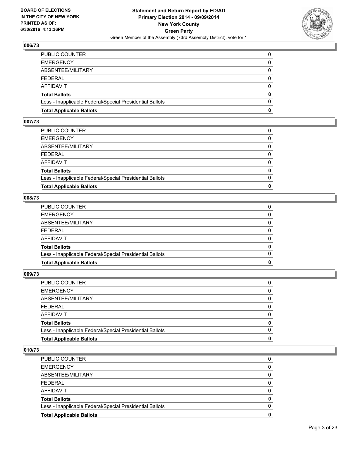

| PUBLIC COUNTER                                           | 0        |
|----------------------------------------------------------|----------|
| EMERGENCY                                                | 0        |
| ABSENTEE/MILITARY                                        | $\Omega$ |
| FEDERAL                                                  | $\Omega$ |
| AFFIDAVIT                                                | $\Omega$ |
| Total Ballots                                            | 0        |
| Less - Inapplicable Federal/Special Presidential Ballots | $\Omega$ |
| <b>Total Applicable Ballots</b>                          | 0        |

#### **007/73**

| PUBLIC COUNTER                                           | 0            |
|----------------------------------------------------------|--------------|
| EMERGENCY                                                | 0            |
| ABSENTEE/MILITARY                                        | 0            |
| FEDERAL                                                  | $\Omega$     |
| AFFIDAVIT                                                | $\Omega$     |
| Total Ballots                                            | $\mathbf{0}$ |
| Less - Inapplicable Federal/Special Presidential Ballots | $\Omega$     |
| <b>Total Applicable Ballots</b>                          | O            |
|                                                          |              |

#### **008/73**

| <b>Total Applicable Ballots</b>                          | 0            |
|----------------------------------------------------------|--------------|
| Less - Inapplicable Federal/Special Presidential Ballots | $\Omega$     |
| Total Ballots                                            | 0            |
| AFFIDAVIT                                                | 0            |
| FEDERAL                                                  | $\mathbf{0}$ |
| ABSENTEE/MILITARY                                        | 0            |
| <b>EMERGENCY</b>                                         | $\mathbf{0}$ |
| PUBLIC COUNTER                                           | 0            |
|                                                          |              |

#### **009/73**

| PUBLIC COUNTER                                           | 0            |
|----------------------------------------------------------|--------------|
| <b>EMERGENCY</b>                                         | 0            |
| ABSENTEE/MILITARY                                        | $\mathbf{0}$ |
| FEDERAL                                                  | 0            |
| AFFIDAVIT                                                | $\mathbf{0}$ |
| Total Ballots                                            | $\mathbf{0}$ |
| Less - Inapplicable Federal/Special Presidential Ballots | $\Omega$     |
| <b>Total Applicable Ballots</b>                          | 0            |
|                                                          |              |

| PUBLIC COUNTER                                           | 0 |
|----------------------------------------------------------|---|
| <b>EMERGENCY</b>                                         | 0 |
| ABSENTEE/MILITARY                                        | 0 |
| FEDERAL                                                  | 0 |
| AFFIDAVIT                                                | 0 |
| <b>Total Ballots</b>                                     | 0 |
| Less - Inapplicable Federal/Special Presidential Ballots | 0 |
| <b>Total Applicable Ballots</b>                          | 0 |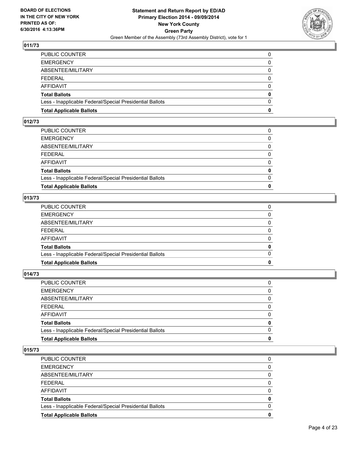

| PUBLIC COUNTER                                           | 0        |
|----------------------------------------------------------|----------|
| EMERGENCY                                                | 0        |
| ABSENTEE/MILITARY                                        | $\Omega$ |
| FEDERAL                                                  | $\Omega$ |
| AFFIDAVIT                                                | 0        |
| Total Ballots                                            | 0        |
| Less - Inapplicable Federal/Special Presidential Ballots | $\Omega$ |
| <b>Total Applicable Ballots</b>                          | 0        |
|                                                          |          |

#### **012/73**

| PUBLIC COUNTER                                           | 0        |
|----------------------------------------------------------|----------|
| <b>EMERGENCY</b>                                         | 0        |
| ABSENTEE/MILITARY                                        | 0        |
| FEDERAL                                                  | 0        |
| AFFIDAVIT                                                | $\Omega$ |
| <b>Total Ballots</b>                                     | 0        |
| Less - Inapplicable Federal/Special Presidential Ballots | $\Omega$ |
| <b>Total Applicable Ballots</b>                          | 0        |
|                                                          |          |

#### **013/73**

| 0<br>$\Omega$<br>0 |
|--------------------|
|                    |
|                    |
|                    |
| $\Omega$           |
| $\Omega$           |
| 0                  |
| 0                  |
| 0                  |
|                    |

## **014/73**

| PUBLIC COUNTER                                           | 0            |
|----------------------------------------------------------|--------------|
| <b>EMERGENCY</b>                                         | 0            |
| ABSENTEE/MILITARY                                        | $\mathbf{0}$ |
| FEDERAL                                                  | 0            |
| AFFIDAVIT                                                | $\mathbf{0}$ |
| Total Ballots                                            | $\mathbf{0}$ |
| Less - Inapplicable Federal/Special Presidential Ballots | $\Omega$     |
| <b>Total Applicable Ballots</b>                          | 0            |
|                                                          |              |

| PUBLIC COUNTER                                           | 0 |
|----------------------------------------------------------|---|
| <b>EMERGENCY</b>                                         | 0 |
| ABSENTEE/MILITARY                                        | 0 |
| FEDERAL                                                  | 0 |
| AFFIDAVIT                                                | 0 |
| <b>Total Ballots</b>                                     | 0 |
| Less - Inapplicable Federal/Special Presidential Ballots | 0 |
| <b>Total Applicable Ballots</b>                          | 0 |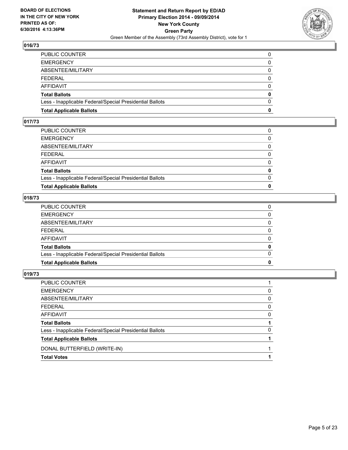

| PUBLIC COUNTER                                           | 0        |
|----------------------------------------------------------|----------|
| EMERGENCY                                                | 0        |
| ABSENTEE/MILITARY                                        | $\Omega$ |
| FEDERAL                                                  | $\Omega$ |
| AFFIDAVIT                                                | 0        |
| Total Ballots                                            | 0        |
| Less - Inapplicable Federal/Special Presidential Ballots | $\Omega$ |
| <b>Total Applicable Ballots</b>                          | 0        |
|                                                          |          |

## **017/73**

| PUBLIC COUNTER                                           | 0            |
|----------------------------------------------------------|--------------|
| <b>EMERGENCY</b>                                         | 0            |
| ABSENTEE/MILITARY                                        | 0            |
| FEDERAL                                                  | $\Omega$     |
| AFFIDAVIT                                                | $\Omega$     |
| Total Ballots                                            | $\mathbf{0}$ |
| Less - Inapplicable Federal/Special Presidential Ballots | $\Omega$     |
| <b>Total Applicable Ballots</b>                          | O            |
|                                                          |              |

#### **018/73**

| <b>Total Applicable Ballots</b>                          | 0            |
|----------------------------------------------------------|--------------|
| Less - Inapplicable Federal/Special Presidential Ballots | $\Omega$     |
| <b>Total Ballots</b>                                     | 0            |
| AFFIDAVIT                                                | $\Omega$     |
| FEDERAL                                                  | $\mathbf{0}$ |
| ABSENTEE/MILITARY                                        | 0            |
| EMERGENCY                                                | $\mathbf{0}$ |
| PUBLIC COUNTER                                           | 0            |
|                                                          |              |

| PUBLIC COUNTER                                           |              |
|----------------------------------------------------------|--------------|
| EMERGENCY                                                | 0            |
| ABSENTEE/MILITARY                                        | $\mathbf{0}$ |
| FEDERAL                                                  | $\Omega$     |
| AFFIDAVIT                                                | 0            |
| <b>Total Ballots</b>                                     |              |
| Less - Inapplicable Federal/Special Presidential Ballots | 0            |
| <b>Total Applicable Ballots</b>                          |              |
| DONAL BUTTERFIELD (WRITE-IN)                             |              |
| <b>Total Votes</b>                                       |              |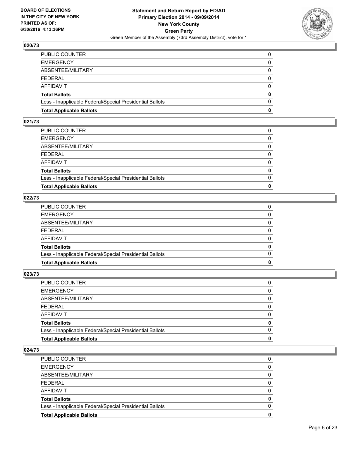

| <b>Total Applicable Ballots</b>                          | 0            |
|----------------------------------------------------------|--------------|
| Less - Inapplicable Federal/Special Presidential Ballots | $\Omega$     |
| <b>Total Ballots</b>                                     | $\mathbf{0}$ |
| AFFIDAVIT                                                | 0            |
| FEDERAL                                                  | $\Omega$     |
| ABSENTEE/MILITARY                                        | 0            |
| <b>EMERGENCY</b>                                         | 0            |
| PUBLIC COUNTER                                           |              |

#### **021/73**

| PUBLIC COUNTER                                           | 0        |
|----------------------------------------------------------|----------|
| <b>EMERGENCY</b>                                         | 0        |
| ABSENTEE/MILITARY                                        | 0        |
| FEDERAL                                                  | 0        |
| AFFIDAVIT                                                | $\Omega$ |
| <b>Total Ballots</b>                                     | 0        |
| Less - Inapplicable Federal/Special Presidential Ballots | $\Omega$ |
| <b>Total Applicable Ballots</b>                          | 0        |
|                                                          |          |

## **022/73**

| 0<br>$\Omega$<br>0 |
|--------------------|
|                    |
|                    |
|                    |
| $\Omega$           |
| $\Omega$           |
| 0                  |
| 0                  |
| 0                  |
|                    |

#### **023/73**

| PUBLIC COUNTER                                           | 0            |
|----------------------------------------------------------|--------------|
| <b>EMERGENCY</b>                                         | 0            |
| ABSENTEE/MILITARY                                        | $\mathbf{0}$ |
| FEDERAL                                                  | 0            |
| AFFIDAVIT                                                | $\mathbf{0}$ |
| Total Ballots                                            | $\mathbf{0}$ |
| Less - Inapplicable Federal/Special Presidential Ballots | $\Omega$     |
| <b>Total Applicable Ballots</b>                          | 0            |
|                                                          |              |

| PUBLIC COUNTER                                           | 0 |
|----------------------------------------------------------|---|
| <b>EMERGENCY</b>                                         | 0 |
| ABSENTEE/MILITARY                                        | 0 |
| FEDERAL                                                  | 0 |
| AFFIDAVIT                                                | 0 |
| <b>Total Ballots</b>                                     | 0 |
| Less - Inapplicable Federal/Special Presidential Ballots | 0 |
| <b>Total Applicable Ballots</b>                          | 0 |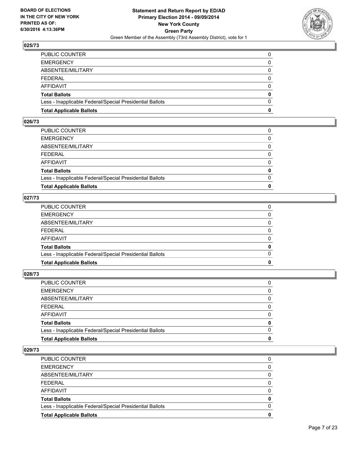

| <b>Total Applicable Ballots</b>                          | 0            |
|----------------------------------------------------------|--------------|
| Less - Inapplicable Federal/Special Presidential Ballots | $\Omega$     |
| <b>Total Ballots</b>                                     | $\mathbf{0}$ |
| AFFIDAVIT                                                | 0            |
| FEDERAL                                                  | $\Omega$     |
| ABSENTEE/MILITARY                                        | 0            |
| <b>EMERGENCY</b>                                         | 0            |
| PUBLIC COUNTER                                           |              |

#### **026/73**

| PUBLIC COUNTER                                           | 0            |
|----------------------------------------------------------|--------------|
| EMERGENCY                                                | 0            |
| ABSENTEE/MILITARY                                        | 0            |
| FEDERAL                                                  | $\Omega$     |
| AFFIDAVIT                                                | $\Omega$     |
| Total Ballots                                            | $\mathbf{0}$ |
| Less - Inapplicable Federal/Special Presidential Ballots | $\Omega$     |
| <b>Total Applicable Ballots</b>                          | O            |
|                                                          |              |

## **027/73**

| 0            |
|--------------|
|              |
| $\Omega$     |
| $\mathbf{0}$ |
| $\Omega$     |
| $\mathbf{0}$ |
| 0            |
| $\Omega$     |
| 0            |
|              |

#### **028/73**

| PUBLIC COUNTER                                           | 0            |
|----------------------------------------------------------|--------------|
| <b>EMERGENCY</b>                                         | 0            |
| ABSENTEE/MILITARY                                        | $\mathbf{0}$ |
| FEDERAL                                                  | 0            |
| AFFIDAVIT                                                | $\mathbf{0}$ |
| Total Ballots                                            | $\mathbf{0}$ |
| Less - Inapplicable Federal/Special Presidential Ballots | $\Omega$     |
| <b>Total Applicable Ballots</b>                          | 0            |
|                                                          |              |

| PUBLIC COUNTER                                           | 0        |
|----------------------------------------------------------|----------|
| <b>EMERGENCY</b>                                         | $\Omega$ |
| ABSENTEE/MILITARY                                        | 0        |
| <b>FEDERAL</b>                                           | 0        |
| AFFIDAVIT                                                | 0        |
| <b>Total Ballots</b>                                     | 0        |
| Less - Inapplicable Federal/Special Presidential Ballots | 0        |
| <b>Total Applicable Ballots</b>                          | 0        |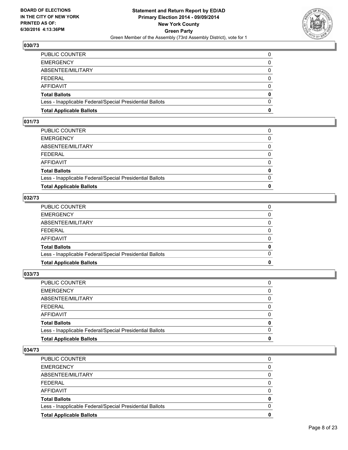

| <b>Total Applicable Ballots</b>                          | 0            |
|----------------------------------------------------------|--------------|
| Less - Inapplicable Federal/Special Presidential Ballots | $\Omega$     |
| Total Ballots                                            | $\mathbf{0}$ |
| AFFIDAVIT                                                | 0            |
| FEDERAL                                                  | $\Omega$     |
| ABSENTEE/MILITARY                                        | $\mathbf{0}$ |
| <b>EMERGENCY</b>                                         | 0            |
| PUBLIC COUNTER                                           | 0            |

#### **031/73**

| PUBLIC COUNTER                                           | 0            |
|----------------------------------------------------------|--------------|
| EMERGENCY                                                | 0            |
| ABSENTEE/MILITARY                                        | 0            |
| FEDERAL                                                  | $\Omega$     |
| AFFIDAVIT                                                | $\Omega$     |
| Total Ballots                                            | $\mathbf{0}$ |
| Less - Inapplicable Federal/Special Presidential Ballots | $\Omega$     |
| <b>Total Applicable Ballots</b>                          | O            |
|                                                          |              |

#### **032/73**

| 0            |
|--------------|
|              |
| $\Omega$     |
| $\mathbf{0}$ |
| $\Omega$     |
| $\mathbf{0}$ |
| 0            |
| $\Omega$     |
| 0            |
|              |

## **033/73**

| PUBLIC COUNTER                                           | 0            |
|----------------------------------------------------------|--------------|
| <b>EMERGENCY</b>                                         | 0            |
| ABSENTEE/MILITARY                                        | $\mathbf{0}$ |
| FEDERAL                                                  | 0            |
| AFFIDAVIT                                                | $\mathbf{0}$ |
| Total Ballots                                            | $\mathbf{0}$ |
| Less - Inapplicable Federal/Special Presidential Ballots | $\Omega$     |
| <b>Total Applicable Ballots</b>                          | 0            |
|                                                          |              |

| PUBLIC COUNTER                                           | 0 |
|----------------------------------------------------------|---|
| <b>EMERGENCY</b>                                         | 0 |
| ABSENTEE/MILITARY                                        | 0 |
| FEDERAL                                                  | 0 |
| AFFIDAVIT                                                | 0 |
| <b>Total Ballots</b>                                     | 0 |
| Less - Inapplicable Federal/Special Presidential Ballots | 0 |
| <b>Total Applicable Ballots</b>                          | 0 |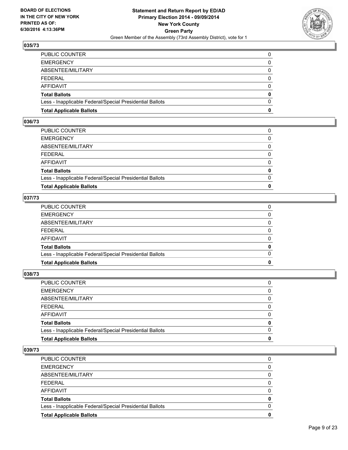

| <b>Total Applicable Ballots</b>                          | 0            |
|----------------------------------------------------------|--------------|
| Less - Inapplicable Federal/Special Presidential Ballots | $\Omega$     |
| Total Ballots                                            | $\mathbf{0}$ |
| AFFIDAVIT                                                | 0            |
| FEDERAL                                                  | $\Omega$     |
| ABSENTEE/MILITARY                                        | $\mathbf{0}$ |
| <b>EMERGENCY</b>                                         | 0            |
| PUBLIC COUNTER                                           | 0            |

#### **036/73**

| PUBLIC COUNTER                                           | 0            |
|----------------------------------------------------------|--------------|
| EMERGENCY                                                | 0            |
| ABSENTEE/MILITARY                                        | 0            |
| FEDERAL                                                  | $\Omega$     |
| AFFIDAVIT                                                | $\Omega$     |
| Total Ballots                                            | $\mathbf{0}$ |
| Less - Inapplicable Federal/Special Presidential Ballots | $\Omega$     |
| <b>Total Applicable Ballots</b>                          | O            |
|                                                          |              |

#### **037/73**

| 0            |
|--------------|
|              |
| $\Omega$     |
| $\mathbf{0}$ |
| $\Omega$     |
| $\mathbf{0}$ |
| 0            |
| $\Omega$     |
| 0            |
|              |

## **038/73**

| PUBLIC COUNTER                                           | 0            |
|----------------------------------------------------------|--------------|
| <b>EMERGENCY</b>                                         | 0            |
| ABSENTEE/MILITARY                                        | $\mathbf{0}$ |
| FEDERAL                                                  | 0            |
| AFFIDAVIT                                                | $\mathbf{0}$ |
| Total Ballots                                            | $\mathbf{0}$ |
| Less - Inapplicable Federal/Special Presidential Ballots | $\Omega$     |
| <b>Total Applicable Ballots</b>                          | 0            |
|                                                          |              |

| <b>PUBLIC COUNTER</b>                                    | 0 |
|----------------------------------------------------------|---|
| <b>EMERGENCY</b>                                         | 0 |
| ABSENTEE/MILITARY                                        | 0 |
| <b>FEDERAL</b>                                           | 0 |
| AFFIDAVIT                                                | 0 |
| <b>Total Ballots</b>                                     | 0 |
| Less - Inapplicable Federal/Special Presidential Ballots | 0 |
| <b>Total Applicable Ballots</b>                          | 0 |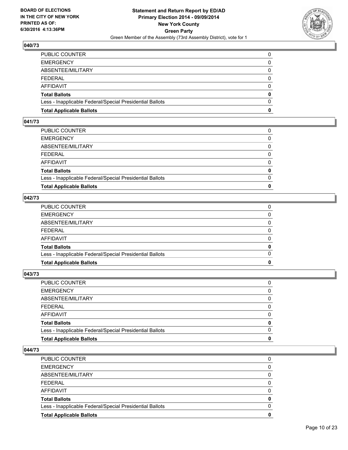

| <b>Total Applicable Ballots</b>                          | 0            |
|----------------------------------------------------------|--------------|
| Less - Inapplicable Federal/Special Presidential Ballots | $\Omega$     |
| Total Ballots                                            | $\mathbf{0}$ |
| AFFIDAVIT                                                | 0            |
| FEDERAL                                                  | $\Omega$     |
| ABSENTEE/MILITARY                                        | $\mathbf{0}$ |
| <b>EMERGENCY</b>                                         | 0            |
| PUBLIC COUNTER                                           | 0            |

#### **041/73**

| PUBLIC COUNTER                                           | 0        |
|----------------------------------------------------------|----------|
| <b>EMERGENCY</b>                                         | 0        |
| ABSENTEE/MILITARY                                        | 0        |
| FEDERAL                                                  | 0        |
| AFFIDAVIT                                                | $\Omega$ |
| <b>Total Ballots</b>                                     | 0        |
| Less - Inapplicable Federal/Special Presidential Ballots | $\Omega$ |
| <b>Total Applicable Ballots</b>                          | 0        |
|                                                          |          |

#### **042/73**

| 0            |
|--------------|
|              |
| $\Omega$     |
| $\mathbf{0}$ |
| $\Omega$     |
| $\mathbf{0}$ |
| 0            |
| $\Omega$     |
| 0            |
|              |

#### **043/73**

| PUBLIC COUNTER                                           | 0            |
|----------------------------------------------------------|--------------|
| <b>EMERGENCY</b>                                         | 0            |
| ABSENTEE/MILITARY                                        | $\mathbf{0}$ |
| FEDERAL                                                  | 0            |
| AFFIDAVIT                                                | $\mathbf{0}$ |
| Total Ballots                                            | $\mathbf{0}$ |
| Less - Inapplicable Federal/Special Presidential Ballots | $\Omega$     |
| <b>Total Applicable Ballots</b>                          | 0            |
|                                                          |              |

| PUBLIC COUNTER                                           | 0 |
|----------------------------------------------------------|---|
| <b>EMERGENCY</b>                                         | 0 |
| ABSENTEE/MILITARY                                        | 0 |
| FEDERAL                                                  | 0 |
| AFFIDAVIT                                                | 0 |
| <b>Total Ballots</b>                                     | 0 |
| Less - Inapplicable Federal/Special Presidential Ballots | 0 |
| <b>Total Applicable Ballots</b>                          | 0 |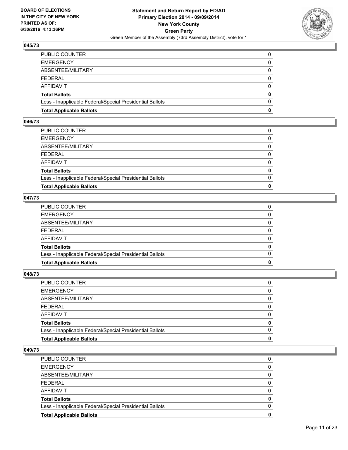

| PUBLIC COUNTER                                           | 0        |
|----------------------------------------------------------|----------|
| EMERGENCY                                                | 0        |
| ABSENTEE/MILITARY                                        | $\Omega$ |
| FEDERAL                                                  | $\Omega$ |
| AFFIDAVIT                                                | $\Omega$ |
| Total Ballots                                            | 0        |
| Less - Inapplicable Federal/Special Presidential Ballots | $\Omega$ |
| <b>Total Applicable Ballots</b>                          | 0        |

#### **046/73**

| PUBLIC COUNTER                                           | 0        |
|----------------------------------------------------------|----------|
| <b>EMERGENCY</b>                                         | 0        |
| ABSENTEE/MILITARY                                        | 0        |
| FEDERAL                                                  | 0        |
| AFFIDAVIT                                                | $\Omega$ |
| <b>Total Ballots</b>                                     | 0        |
| Less - Inapplicable Federal/Special Presidential Ballots | $\Omega$ |
| <b>Total Applicable Ballots</b>                          | 0        |
|                                                          |          |

#### **047/73**

| 0            |
|--------------|
|              |
| $\Omega$     |
| $\mathbf{0}$ |
| $\Omega$     |
| $\mathbf{0}$ |
| 0            |
| $\Omega$     |
| 0            |
|              |

#### **048/73**

| PUBLIC COUNTER                                           | 0            |
|----------------------------------------------------------|--------------|
| <b>EMERGENCY</b>                                         | 0            |
| ABSENTEE/MILITARY                                        | $\mathbf{0}$ |
| FEDERAL                                                  | 0            |
| AFFIDAVIT                                                | $\mathbf{0}$ |
| Total Ballots                                            | $\mathbf{0}$ |
| Less - Inapplicable Federal/Special Presidential Ballots | $\Omega$     |
| <b>Total Applicable Ballots</b>                          | 0            |
|                                                          |              |

| PUBLIC COUNTER                                           | 0 |
|----------------------------------------------------------|---|
| <b>EMERGENCY</b>                                         | 0 |
| ABSENTEE/MILITARY                                        | 0 |
| FEDERAL                                                  | 0 |
| AFFIDAVIT                                                | 0 |
| <b>Total Ballots</b>                                     | 0 |
| Less - Inapplicable Federal/Special Presidential Ballots | 0 |
| <b>Total Applicable Ballots</b>                          | 0 |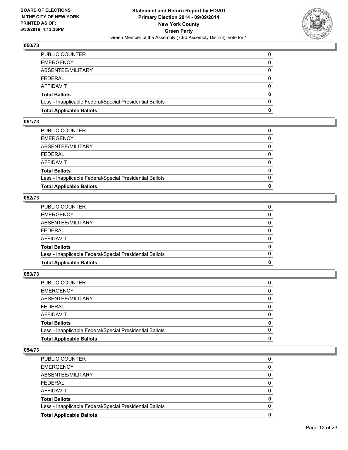

| PUBLIC COUNTER                                           | 0        |
|----------------------------------------------------------|----------|
| EMERGENCY                                                | 0        |
| ABSENTEE/MILITARY                                        | $\Omega$ |
| FEDERAL                                                  | $\Omega$ |
| AFFIDAVIT                                                | $\Omega$ |
| Total Ballots                                            | 0        |
| Less - Inapplicable Federal/Special Presidential Ballots | $\Omega$ |
| <b>Total Applicable Ballots</b>                          | 0        |

#### **051/73**

| PUBLIC COUNTER                                           | 0            |
|----------------------------------------------------------|--------------|
| <b>EMERGENCY</b>                                         | 0            |
| ABSENTEE/MILITARY                                        | $\Omega$     |
| FEDERAL                                                  | 0            |
| AFFIDAVIT                                                | $\Omega$     |
| Total Ballots                                            | $\mathbf{0}$ |
| Less - Inapplicable Federal/Special Presidential Ballots | $\Omega$     |
| <b>Total Applicable Ballots</b>                          | 0            |
|                                                          |              |

#### **052/73**

| <b>Total Applicable Ballots</b>                          | 0            |
|----------------------------------------------------------|--------------|
| Less - Inapplicable Federal/Special Presidential Ballots | $\Omega$     |
| <b>Total Ballots</b>                                     | 0            |
| AFFIDAVIT                                                | $\Omega$     |
| FEDERAL                                                  | $\mathbf{0}$ |
| ABSENTEE/MILITARY                                        | 0            |
| EMERGENCY                                                | $\mathbf{0}$ |
| PUBLIC COUNTER                                           | 0            |
|                                                          |              |

## **053/73**

| PUBLIC COUNTER                                           | 0            |
|----------------------------------------------------------|--------------|
| <b>EMERGENCY</b>                                         | 0            |
| ABSENTEE/MILITARY                                        | $\mathbf{0}$ |
| FEDERAL                                                  | $\Omega$     |
| AFFIDAVIT                                                | 0            |
| Total Ballots                                            | $\mathbf{0}$ |
| Less - Inapplicable Federal/Special Presidential Ballots | $\Omega$     |
| <b>Total Applicable Ballots</b>                          | 0            |
|                                                          |              |

| <b>PUBLIC COUNTER</b>                                    | 0 |
|----------------------------------------------------------|---|
| <b>EMERGENCY</b>                                         | 0 |
| ABSENTEE/MILITARY                                        | 0 |
| <b>FEDERAL</b>                                           | 0 |
| AFFIDAVIT                                                | 0 |
| <b>Total Ballots</b>                                     | 0 |
| Less - Inapplicable Federal/Special Presidential Ballots | 0 |
| <b>Total Applicable Ballots</b>                          | 0 |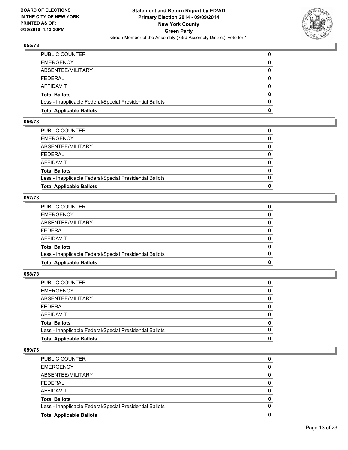

| <b>Total Applicable Ballots</b>                          | 0            |
|----------------------------------------------------------|--------------|
| Less - Inapplicable Federal/Special Presidential Ballots | $\Omega$     |
| Total Ballots                                            | $\mathbf{0}$ |
| AFFIDAVIT                                                | 0            |
| FEDERAL                                                  | $\Omega$     |
| ABSENTEE/MILITARY                                        | $\mathbf{0}$ |
| <b>EMERGENCY</b>                                         | 0            |
| PUBLIC COUNTER                                           | 0            |

#### **056/73**

| PUBLIC COUNTER                                           | 0            |
|----------------------------------------------------------|--------------|
| <b>EMERGENCY</b>                                         | 0            |
| ABSENTEE/MILITARY                                        | $\Omega$     |
| FEDERAL                                                  | 0            |
| AFFIDAVIT                                                | $\Omega$     |
| Total Ballots                                            | $\mathbf{0}$ |
| Less - Inapplicable Federal/Special Presidential Ballots | $\Omega$     |
| <b>Total Applicable Ballots</b>                          | 0            |
|                                                          |              |

#### **057/73**

| 0            |
|--------------|
|              |
| $\Omega$     |
| $\mathbf{0}$ |
| $\Omega$     |
| $\mathbf{0}$ |
| 0            |
| $\Omega$     |
| 0            |
|              |

#### **058/73**

| PUBLIC COUNTER                                           | 0            |
|----------------------------------------------------------|--------------|
| <b>EMERGENCY</b>                                         | 0            |
| ABSENTEE/MILITARY                                        | $\mathbf{0}$ |
| FEDERAL                                                  | 0            |
| AFFIDAVIT                                                | $\mathbf{0}$ |
| Total Ballots                                            | $\mathbf{0}$ |
| Less - Inapplicable Federal/Special Presidential Ballots | $\Omega$     |
| <b>Total Applicable Ballots</b>                          | 0            |
|                                                          |              |

| PUBLIC COUNTER                                           | 0        |
|----------------------------------------------------------|----------|
| <b>EMERGENCY</b>                                         | $\Omega$ |
| ABSENTEE/MILITARY                                        | 0        |
| <b>FEDERAL</b>                                           | 0        |
| AFFIDAVIT                                                | 0        |
| <b>Total Ballots</b>                                     | 0        |
| Less - Inapplicable Federal/Special Presidential Ballots | 0        |
| <b>Total Applicable Ballots</b>                          | 0        |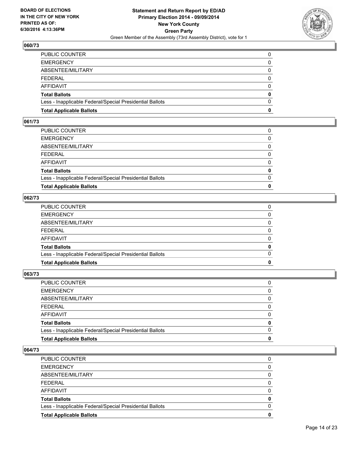

| PUBLIC COUNTER                                           | 0        |
|----------------------------------------------------------|----------|
| EMERGENCY                                                | 0        |
| ABSENTEE/MILITARY                                        | $\Omega$ |
| FEDERAL                                                  | $\Omega$ |
| AFFIDAVIT                                                | $\Omega$ |
| Total Ballots                                            | 0        |
| Less - Inapplicable Federal/Special Presidential Ballots | $\Omega$ |
| <b>Total Applicable Ballots</b>                          | 0        |

#### **061/73**

| PUBLIC COUNTER                                           | 0        |
|----------------------------------------------------------|----------|
| <b>EMERGENCY</b>                                         | 0        |
| ABSENTEE/MILITARY                                        | 0        |
| FEDERAL                                                  | 0        |
| AFFIDAVIT                                                | $\Omega$ |
| <b>Total Ballots</b>                                     | 0        |
| Less - Inapplicable Federal/Special Presidential Ballots | $\Omega$ |
| <b>Total Applicable Ballots</b>                          | 0        |
|                                                          |          |

#### **062/73**

| 0            |
|--------------|
|              |
| $\Omega$     |
| $\mathbf{0}$ |
| $\Omega$     |
| $\mathbf{0}$ |
| 0            |
| $\Omega$     |
| 0            |
|              |

## **063/73**

| PUBLIC COUNTER                                           | 0            |
|----------------------------------------------------------|--------------|
| <b>EMERGENCY</b>                                         | 0            |
| ABSENTEE/MILITARY                                        | $\mathbf{0}$ |
| FEDERAL                                                  | 0            |
| AFFIDAVIT                                                | $\mathbf{0}$ |
| Total Ballots                                            | $\mathbf{0}$ |
| Less - Inapplicable Federal/Special Presidential Ballots | $\Omega$     |
| <b>Total Applicable Ballots</b>                          | 0            |
|                                                          |              |

| PUBLIC COUNTER                                           | 0 |
|----------------------------------------------------------|---|
| <b>EMERGENCY</b>                                         | 0 |
| ABSENTEE/MILITARY                                        | 0 |
| FEDERAL                                                  | 0 |
| AFFIDAVIT                                                | 0 |
| <b>Total Ballots</b>                                     | 0 |
| Less - Inapplicable Federal/Special Presidential Ballots | 0 |
| <b>Total Applicable Ballots</b>                          | 0 |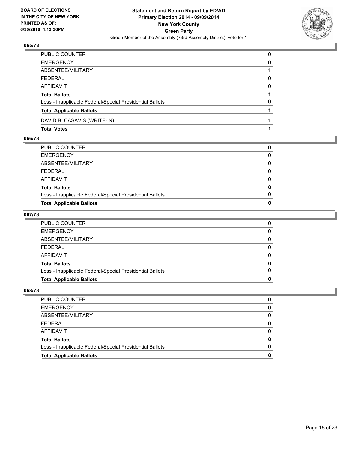

| PUBLIC COUNTER                                           | $\Omega$ |
|----------------------------------------------------------|----------|
| <b>EMERGENCY</b>                                         | 0        |
| ABSENTEE/MILITARY                                        |          |
| <b>FEDERAL</b>                                           | 0        |
| <b>AFFIDAVIT</b>                                         | $\Omega$ |
| <b>Total Ballots</b>                                     |          |
| Less - Inapplicable Federal/Special Presidential Ballots | 0        |
| <b>Total Applicable Ballots</b>                          |          |
| DAVID B. CASAVIS (WRITE-IN)                              |          |
| <b>Total Votes</b>                                       |          |

#### **066/73**

| PUBLIC COUNTER                                           |   |
|----------------------------------------------------------|---|
| EMERGENCY                                                | 0 |
| ABSENTEE/MILITARY                                        | 0 |
| FEDERAL                                                  | 0 |
| AFFIDAVIT                                                | 0 |
| <b>Total Ballots</b>                                     | 0 |
| Less - Inapplicable Federal/Special Presidential Ballots | 0 |
| <b>Total Applicable Ballots</b>                          | 0 |
|                                                          |   |

## **067/73**

| <b>Total Applicable Ballots</b>                          | 0 |
|----------------------------------------------------------|---|
| Less - Inapplicable Federal/Special Presidential Ballots | 0 |
| <b>Total Ballots</b>                                     | 0 |
| AFFIDAVIT                                                | 0 |
| FEDERAL                                                  | 0 |
| ABSENTEE/MILITARY                                        | 0 |
| <b>EMERGENCY</b>                                         | 0 |
| PUBLIC COUNTER                                           | 0 |

| <b>Total Applicable Ballots</b>                          | o        |
|----------------------------------------------------------|----------|
| Less - Inapplicable Federal/Special Presidential Ballots | $\Omega$ |
| Total Ballots                                            | 0        |
| AFFIDAVIT                                                | 0        |
| FEDERAL                                                  | $\Omega$ |
| ABSENTEE/MILITARY                                        | 0        |
| EMERGENCY                                                | 0        |
| PUBLIC COUNTER                                           | 0        |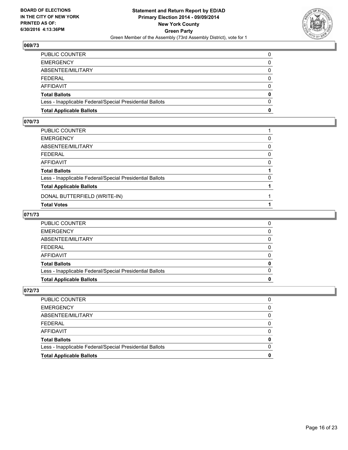

| PUBLIC COUNTER                                           | 0        |
|----------------------------------------------------------|----------|
| EMERGENCY                                                | 0        |
| ABSENTEE/MILITARY                                        | $\Omega$ |
| FEDERAL                                                  | $\Omega$ |
| AFFIDAVIT                                                | 0        |
| Total Ballots                                            | 0        |
| Less - Inapplicable Federal/Special Presidential Ballots | $\Omega$ |
| <b>Total Applicable Ballots</b>                          | 0        |
|                                                          |          |

#### **070/73**

| PUBLIC COUNTER                                           |   |
|----------------------------------------------------------|---|
| EMERGENCY                                                | 0 |
| ABSENTEE/MILITARY                                        | 0 |
| FEDERAL                                                  | 0 |
| AFFIDAVIT                                                | 0 |
| Total Ballots                                            |   |
| Less - Inapplicable Federal/Special Presidential Ballots | 0 |
| <b>Total Applicable Ballots</b>                          |   |
| DONAL BUTTERFIELD (WRITE-IN)                             |   |
| Total Votes                                              |   |

#### **071/73**

| <b>Total Applicable Ballots</b>                          |   |
|----------------------------------------------------------|---|
| Less - Inapplicable Federal/Special Presidential Ballots | 0 |
| Total Ballots                                            | 0 |
| AFFIDAVIT                                                | 0 |
| FEDERAL                                                  | 0 |
| ABSENTEE/MILITARY                                        | 0 |
| <b>EMERGENCY</b>                                         | 0 |
| PUBLIC COUNTER                                           | 0 |

| PUBLIC COUNTER                                           | 0        |
|----------------------------------------------------------|----------|
| EMERGENCY                                                | 0        |
| ABSENTEE/MILITARY                                        | 0        |
| FEDERAL                                                  | 0        |
| AFFIDAVIT                                                | 0        |
| Total Ballots                                            | 0        |
| Less - Inapplicable Federal/Special Presidential Ballots | $\Omega$ |
| <b>Total Applicable Ballots</b>                          |          |
|                                                          |          |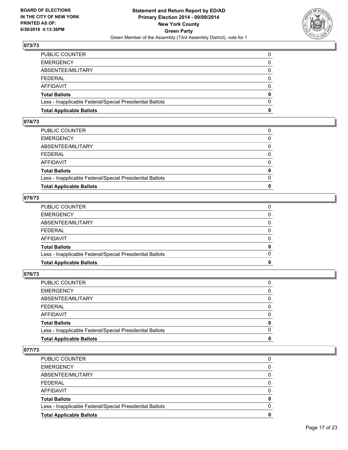

| PUBLIC COUNTER                                           | 0        |
|----------------------------------------------------------|----------|
| EMERGENCY                                                | 0        |
| ABSENTEE/MILITARY                                        | $\Omega$ |
| FEDERAL                                                  | $\Omega$ |
| AFFIDAVIT                                                | $\Omega$ |
| Total Ballots                                            | 0        |
| Less - Inapplicable Federal/Special Presidential Ballots | $\Omega$ |
| <b>Total Applicable Ballots</b>                          | 0        |

#### **074/73**

| PUBLIC COUNTER                                           | 0        |
|----------------------------------------------------------|----------|
| <b>EMERGENCY</b>                                         | 0        |
| ABSENTEE/MILITARY                                        | 0        |
| FEDERAL                                                  | 0        |
| AFFIDAVIT                                                | $\Omega$ |
| <b>Total Ballots</b>                                     | 0        |
| Less - Inapplicable Federal/Special Presidential Ballots | $\Omega$ |
| <b>Total Applicable Ballots</b>                          | 0        |
|                                                          |          |

#### **075/73**

| 0<br>$\Omega$<br>0 |
|--------------------|
|                    |
|                    |
|                    |
| $\Omega$           |
| $\Omega$           |
| 0                  |
| 0                  |
| 0                  |
|                    |

#### **076/73**

| PUBLIC COUNTER                                           |              |
|----------------------------------------------------------|--------------|
| EMERGENCY                                                | 0            |
| ABSENTEE/MILITARY                                        | $\Omega$     |
| FEDERAL                                                  | $\Omega$     |
| AFFIDAVIT                                                | $\Omega$     |
| <b>Total Ballots</b>                                     | $\mathbf{0}$ |
| Less - Inapplicable Federal/Special Presidential Ballots | $\Omega$     |
| <b>Total Applicable Ballots</b>                          | 0            |
|                                                          |              |

| PUBLIC COUNTER                                           | 0 |
|----------------------------------------------------------|---|
| <b>EMERGENCY</b>                                         | 0 |
| ABSENTEE/MILITARY                                        | 0 |
| FEDERAL                                                  | 0 |
| AFFIDAVIT                                                | 0 |
| <b>Total Ballots</b>                                     | 0 |
| Less - Inapplicable Federal/Special Presidential Ballots | 0 |
| <b>Total Applicable Ballots</b>                          | 0 |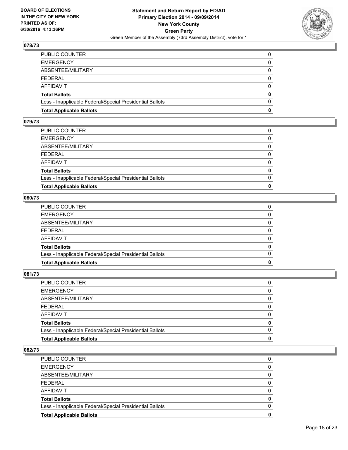

| PUBLIC COUNTER                                           | 0        |
|----------------------------------------------------------|----------|
| EMERGENCY                                                | 0        |
| ABSENTEE/MILITARY                                        | $\Omega$ |
| FEDERAL                                                  | $\Omega$ |
| AFFIDAVIT                                                | $\Omega$ |
| Total Ballots                                            | 0        |
| Less - Inapplicable Federal/Special Presidential Ballots | $\Omega$ |
| <b>Total Applicable Ballots</b>                          | 0        |

#### **079/73**

| PUBLIC COUNTER                                           | 0        |
|----------------------------------------------------------|----------|
| <b>EMERGENCY</b>                                         | 0        |
| ABSENTEE/MILITARY                                        | 0        |
| FEDERAL                                                  | 0        |
| AFFIDAVIT                                                | $\Omega$ |
| <b>Total Ballots</b>                                     | 0        |
| Less - Inapplicable Federal/Special Presidential Ballots | $\Omega$ |
| <b>Total Applicable Ballots</b>                          | 0        |
|                                                          |          |

#### **080/73**

| <b>Total Applicable Ballots</b>                          | 0            |
|----------------------------------------------------------|--------------|
| Less - Inapplicable Federal/Special Presidential Ballots | $\Omega$     |
| Total Ballots                                            | 0            |
| AFFIDAVIT                                                | 0            |
| FEDERAL                                                  | $\mathbf{0}$ |
| ABSENTEE/MILITARY                                        | 0            |
| <b>EMERGENCY</b>                                         | $\mathbf{0}$ |
| PUBLIC COUNTER                                           | 0            |
|                                                          |              |

## **081/73**

| PUBLIC COUNTER                                           | 0            |
|----------------------------------------------------------|--------------|
| <b>EMERGENCY</b>                                         | 0            |
| ABSENTEE/MILITARY                                        | $\mathbf{0}$ |
| FEDERAL                                                  | 0            |
| AFFIDAVIT                                                | $\mathbf{0}$ |
| Total Ballots                                            | $\mathbf{0}$ |
| Less - Inapplicable Federal/Special Presidential Ballots | $\Omega$     |
| <b>Total Applicable Ballots</b>                          | 0            |
|                                                          |              |

| PUBLIC COUNTER                                           | 0 |
|----------------------------------------------------------|---|
| <b>EMERGENCY</b>                                         | 0 |
| ABSENTEE/MILITARY                                        | 0 |
| FEDERAL                                                  | 0 |
| AFFIDAVIT                                                | 0 |
| <b>Total Ballots</b>                                     | 0 |
| Less - Inapplicable Federal/Special Presidential Ballots | 0 |
| <b>Total Applicable Ballots</b>                          | 0 |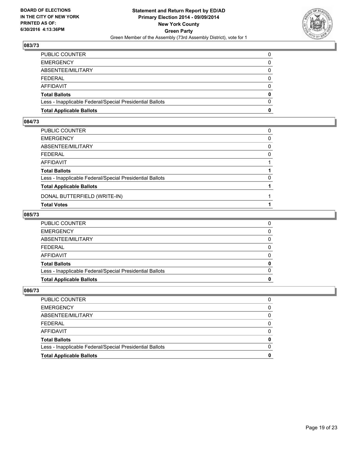

| PUBLIC COUNTER                                           | 0        |
|----------------------------------------------------------|----------|
| EMERGENCY                                                | 0        |
| ABSENTEE/MILITARY                                        | $\Omega$ |
| FEDERAL                                                  | $\Omega$ |
| AFFIDAVIT                                                | 0        |
| Total Ballots                                            | 0        |
| Less - Inapplicable Federal/Special Presidential Ballots | $\Omega$ |
| <b>Total Applicable Ballots</b>                          | 0        |
|                                                          |          |

#### **084/73**

| PUBLIC COUNTER                                           | 0 |
|----------------------------------------------------------|---|
| EMERGENCY                                                | 0 |
| ABSENTEE/MILITARY                                        | 0 |
| FEDERAL                                                  | 0 |
| AFFIDAVIT                                                |   |
| <b>Total Ballots</b>                                     |   |
| Less - Inapplicable Federal/Special Presidential Ballots | 0 |
| <b>Total Applicable Ballots</b>                          |   |
| DONAL BUTTERFIELD (WRITE-IN)                             |   |
| <b>Total Votes</b>                                       |   |

#### **085/73**

| <b>Total Applicable Ballots</b>                          |          |
|----------------------------------------------------------|----------|
| Less - Inapplicable Federal/Special Presidential Ballots | $\Omega$ |
| <b>Total Ballots</b>                                     | 0        |
| AFFIDAVIT                                                | $\Omega$ |
| FEDERAL                                                  | 0        |
| ABSENTEE/MILITARY                                        | 0        |
| EMERGENCY                                                | 0        |
| PUBLIC COUNTER                                           | 0        |

| <b>Total Applicable Ballots</b>                          |          |
|----------------------------------------------------------|----------|
| Less - Inapplicable Federal/Special Presidential Ballots | $\Omega$ |
| Total Ballots                                            | o        |
| AFFIDAVIT                                                | 0        |
| FEDERAL                                                  | 0        |
| ABSENTEE/MILITARY                                        | 0        |
| EMERGENCY                                                | 0        |
| PUBLIC COUNTER                                           | 0        |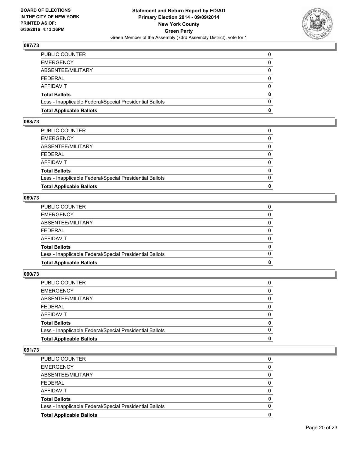

| PUBLIC COUNTER                                           | 0        |
|----------------------------------------------------------|----------|
| EMERGENCY                                                | 0        |
| ABSENTEE/MILITARY                                        | $\Omega$ |
| FEDERAL                                                  | $\Omega$ |
| AFFIDAVIT                                                | $\Omega$ |
| Total Ballots                                            | 0        |
| Less - Inapplicable Federal/Special Presidential Ballots | $\Omega$ |
| <b>Total Applicable Ballots</b>                          | 0        |

#### **088/73**

| PUBLIC COUNTER                                           | 0            |
|----------------------------------------------------------|--------------|
| <b>EMERGENCY</b>                                         | 0            |
| ABSENTEE/MILITARY                                        | $\Omega$     |
| FEDERAL                                                  | 0            |
| AFFIDAVIT                                                | $\Omega$     |
| Total Ballots                                            | $\mathbf{0}$ |
| Less - Inapplicable Federal/Special Presidential Ballots | $\Omega$     |
| <b>Total Applicable Ballots</b>                          | 0            |
|                                                          |              |

#### **089/73**

| <b>Total Applicable Ballots</b>                          | 0            |
|----------------------------------------------------------|--------------|
| Less - Inapplicable Federal/Special Presidential Ballots | $\Omega$     |
| Total Ballots                                            | 0            |
| AFFIDAVIT                                                | 0            |
| FEDERAL                                                  | $\mathbf{0}$ |
| ABSENTEE/MILITARY                                        | 0            |
| <b>EMERGENCY</b>                                         | $\mathbf{0}$ |
| PUBLIC COUNTER                                           | 0            |
|                                                          |              |

#### **090/73**

| PUBLIC COUNTER                                           | 0            |
|----------------------------------------------------------|--------------|
| <b>EMERGENCY</b>                                         | 0            |
| ABSENTEE/MILITARY                                        | $\mathbf{0}$ |
| FEDERAL                                                  | 0            |
| AFFIDAVIT                                                | $\mathbf{0}$ |
| Total Ballots                                            | $\mathbf{0}$ |
| Less - Inapplicable Federal/Special Presidential Ballots | $\Omega$     |
| <b>Total Applicable Ballots</b>                          | 0            |
|                                                          |              |

| PUBLIC COUNTER                                           | 0 |
|----------------------------------------------------------|---|
| <b>EMERGENCY</b>                                         | 0 |
| ABSENTEE/MILITARY                                        | 0 |
| FEDERAL                                                  | 0 |
| AFFIDAVIT                                                | 0 |
| <b>Total Ballots</b>                                     | 0 |
| Less - Inapplicable Federal/Special Presidential Ballots | 0 |
| <b>Total Applicable Ballots</b>                          | 0 |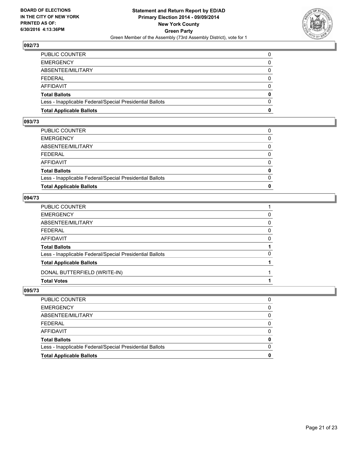

| PUBLIC COUNTER                                           | 0        |
|----------------------------------------------------------|----------|
| EMERGENCY                                                | 0        |
| ABSENTEE/MILITARY                                        | $\Omega$ |
| FEDERAL                                                  | $\Omega$ |
| AFFIDAVIT                                                | 0        |
| Total Ballots                                            | 0        |
| Less - Inapplicable Federal/Special Presidential Ballots | $\Omega$ |
| <b>Total Applicable Ballots</b>                          | 0        |
|                                                          |          |

#### **093/73**

| PUBLIC COUNTER                                           | 0            |
|----------------------------------------------------------|--------------|
| <b>EMERGENCY</b>                                         | 0            |
| ABSENTEE/MILITARY                                        | 0            |
| FEDERAL                                                  | $\Omega$     |
| AFFIDAVIT                                                | $\Omega$     |
| Total Ballots                                            | $\mathbf{0}$ |
| Less - Inapplicable Federal/Special Presidential Ballots | $\Omega$     |
| <b>Total Applicable Ballots</b>                          | O            |
|                                                          |              |

#### **094/73**

| PUBLIC COUNTER                                           |          |
|----------------------------------------------------------|----------|
| EMERGENCY                                                | 0        |
| ABSENTEE/MILITARY                                        | 0        |
| FEDERAL                                                  | 0        |
| AFFIDAVIT                                                | $\Omega$ |
| <b>Total Ballots</b>                                     |          |
| Less - Inapplicable Federal/Special Presidential Ballots | 0        |
| <b>Total Applicable Ballots</b>                          |          |
| DONAL BUTTERFIELD (WRITE-IN)                             |          |
| Total Votes                                              |          |

| <b>Total Applicable Ballots</b>                          |          |
|----------------------------------------------------------|----------|
| Less - Inapplicable Federal/Special Presidential Ballots | $\Omega$ |
| Total Ballots                                            | 0        |
| AFFIDAVIT                                                | 0        |
| FEDERAL                                                  | 0        |
| ABSENTEE/MILITARY                                        | 0        |
| <b>EMERGENCY</b>                                         | 0        |
| PUBLIC COUNTER                                           | 0        |
|                                                          |          |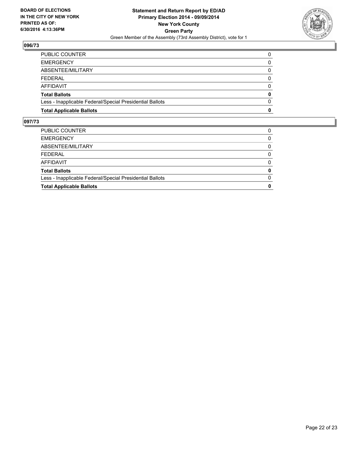

| <b>Total Applicable Ballots</b>                          | 0        |
|----------------------------------------------------------|----------|
| Less - Inapplicable Federal/Special Presidential Ballots | $\Omega$ |
| <b>Total Ballots</b>                                     | 0        |
| <b>AFFIDAVIT</b>                                         | 0        |
| FEDERAL                                                  | $\Omega$ |
| ABSENTEE/MILITARY                                        | 0        |
| <b>EMERGENCY</b>                                         | 0        |
| PUBLIC COUNTER                                           | 0        |

| <b>Total Applicable Ballots</b>                          | 0        |
|----------------------------------------------------------|----------|
| Less - Inapplicable Federal/Special Presidential Ballots | $\Omega$ |
| <b>Total Ballots</b>                                     | 0        |
| <b>AFFIDAVIT</b>                                         | $\Omega$ |
| <b>FEDERAL</b>                                           | 0        |
| ABSENTEE/MILITARY                                        | 0        |
| <b>EMERGENCY</b>                                         | $\Omega$ |
| PUBLIC COUNTER                                           | 0        |
|                                                          |          |